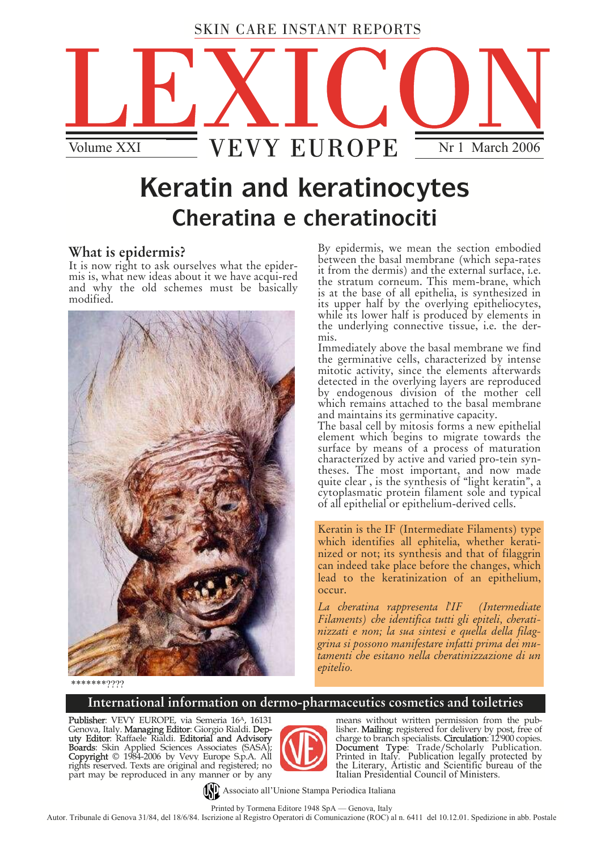## SKIN CARE INSTANT REPORTS



# **Keratin and keratinocytes Cheratina e cheratinociti**

## **What is epidermis?**

It is now right to ask ourselves what the epidermis is, what new ideas about it we have acqui-red and why the old schemes must be basically modified.



By epidermis, we mean the section embodied between the basal membrane (which sepa-rates it from the dermis) and the external surface, i.e. the stratum corneum. This mem-brane, which is at the base of all epithelia, is synthesized in its upper half by the overlying epitheliocytes, while its lower half is produced by elements in the underlying connective tissue, i.e. the dermis.

Immediately above the basal membrane we find mitotic activity, since the elements afterwards detected in the overlying layers are reproduced by endogenous division of the mother cell which remains attached to the basal membrane and maintains its germinative capacity.

The basal cell by mitosis forms a new epithelial element which begins to migrate towards the surface by means of a process of maturation<br>characterized by active and varied pro-tein syncharacterized by active and varied pro-tein syn-<br>theses. The most important, and now made quite clear , is the synthesis of "light keratin", a cytoplasmatic protein filament sole and typical of all epithelial or epithelium-derived cells.

Keratin is the IF (Intermediate Filaments) type which identifies all ephitelia, whether keratinized or not; its synthesis and that of filaggrin can indeed take place before the changes, which lead to the keratinization of an epithelium, occur.

*La cheratina rappresenta l'IF (Intermediate Filaments) che identifica tutti gli epiteli, cheratinizzati e non; la sua sintesi e quella della filaggrina si possono manifestare infatti prima dei mutamenti che esitano nella cheratinizzazione di un epitelio.* 

\*\*\*\*\*\*\*????

### **International information on dermo-pharmaceutics cosmetics and toiletries**

Publisher: VEVY EUROPE, via Semeria 16<sup>A</sup>, 16131 Genova, Italy. **Managing Editor**: Giorgio Rialdi. **Dep**uty Editor: Raffaele Rialdi. Editorial and Advisory Boards: Skin Applied Sciences Associates (SASA); **Copyright** © 1984-2006 by Vevy Europe S.p.A. All rights reserved. Texts are original and registered; no part may be reproduced in any manner or by any



means without written permission from the publisher. Mailing: registered for delivery by post, free of charge to branch specialists. **Circulation**: 12'900 copies. **Document Type**: Trade/Scholarly Publication.<br>Printed in Italy. Publication legally protected by<br>the Literary, Artistic and Scientific bureau of the Italian Presidential Council of Ministers.

Associato all'Unione Stampa Periodica Italiana

Printed by Tormena Editore 1948 SpA — Genova, Italy

Autor. Tribunale di Genova 31/84, del 18/6/84. Iscrizione al Registro Operatori di Comunicazione (ROC) al n. 6411 del 10.12.01. Spedizione in abb. Postale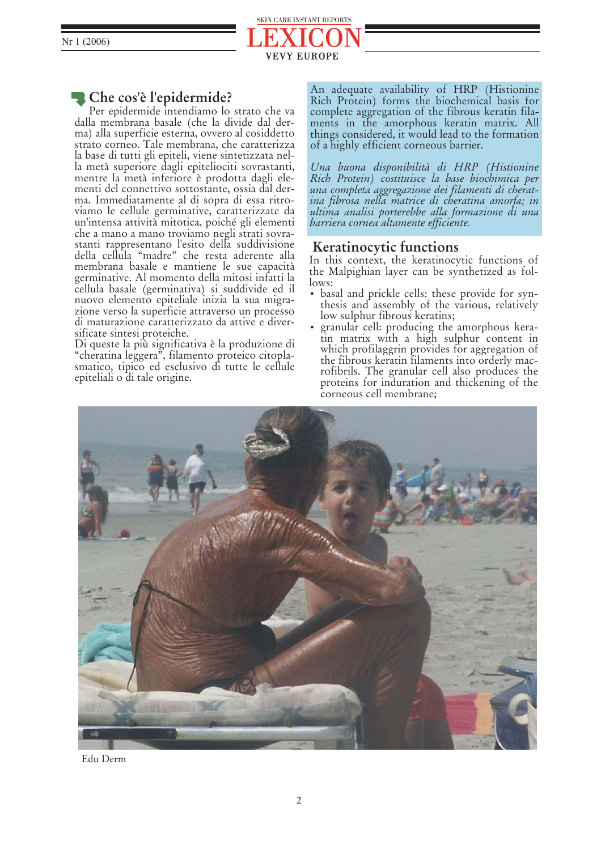

## **Che cos'è l'epidermide?**

Per epidermide intendiamo lo strato che va dalla membrana basale (che la divide dal derma) alla superficie esterna, ovvero al cosiddetto strato corneo. Tale membrana, che caratterizza la base di tutti gli epiteli, viene sintetizzata nella metà superiore dagli epiteliociti sovrastanti, mentre la metà inferiore è prodotta dagli elementi del connettivo sottostante, ossia dal derma. Immediatamente al di sopra di essa ritroviamo le cellule germinative, caratterizzate da un'intensa attività mitotica, poiché gli elementi che a mano a mano troviamo negli strati sovrastanti rappresentano l'esito della suddivisione della cellula "madre" che resta aderente alla membrana basale e mantiene le sue capacità germinative. Al momento della mitosi infatti la cellula basale (germinativa) si suddivide ed il nuovo elemento epiteliale inizia la sua migrazione verso la superficie attraverso un processo di maturazione caratterizzato da attive e diversificate sintesi proteiche.

Di queste la più significativa è la produzione di "cheratina leggera", filamento proteico citoplasmatico, tipico ed esclusivo di tutte le cellule epiteliali o di tale origine.

An adequate availability of HRP (Histionine Rich Protein) forms the biochemical basis for complete aggregation of the fibrous keratin filaments in the amorphous keratin matrix. All things considered, it would lead to the formation of a highly efficient corneous barrier.

*Una buona disponibilità di HRP (Histionine Rich Protein) costituisce la base biochimica per una completa aggregazione dei filamenti di cherat- ina fibrosa nella matrice di cheratina amorfa; in ultima analisi porterebbe alla formazione di una barriera cornea altamente efficiente.*

### **Keratinocytic functions**

In this context, the keratinocytic functions of the Malpighian layer can be synthetized as follows:

- basal and prickle cells: these provide for synthesis and assembly of the various, relatively low sulphur fibrous keratins;
- granular cell: producing the amorphous keratin matrix with a high sulphur content in which profilaggrin provides for aggregation of the fibrous keratin filaments into orderly macrofibrils. The granular cell also produces the proteins for induration and thickening of the corneous cell membrane;



Edu Derm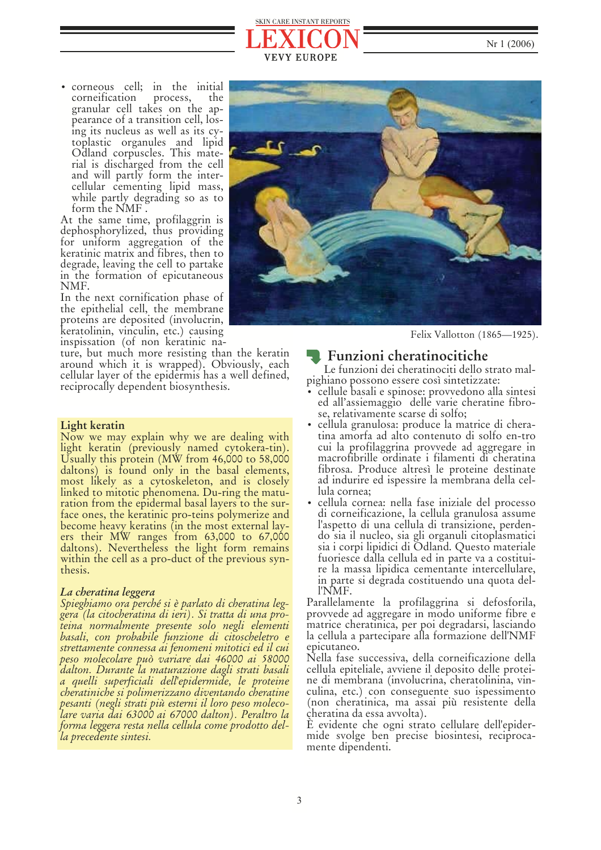



• corneous cell; in the initial corneification process, the granular cell takes on the appearance of a transition cell, losing its nucleus as well as its cytoplastic organules and lipid Odland corpuscles. This material is discharged from the cell and will partly form the intercellular cementing lipid mass, while partly degrading so as to form the NMF .

At the same time, profilaggrin is dephosphorylized, thus providing for uniform aggregation of the keratinic matrix and fibres, then to degrade, leaving the cell to partake in the formation of epicutaneous NMF.

In the next cornification phase of the epithelial cell, the membrane proteins are deposited (involucrin, keratolinin, vinculin, etc.) causing inspissation (of non keratinic na-

ture, but much more resisting than the keratin around which it is wrapped). Obviously, each cellular layer of the epidermis has a well defined, reciprocally dependent biosynthesis.

#### **Light keratin**

Now we may explain why we are dealing with light keratin (previously named cytokera-tin).<br>Usually this protein (MW from 46,000 to 58,000 daltons) is found only in the basal elements, most likely as a cytoskeleton, and is closely linked to mitotic phenomena. Du-ring the matu-<br>ration from the epidermal basal layers to the surface ones, the keratinic pro-teins polymerize and<br>become heavy keratins (in the most external layers their MW ranges from 63,000 to 67,000 daltons). Nevertheless the light form remains within the cell as a pro-duct of the previous syn-<br>thesis.

#### *La cheratina leggera*

*Spieghiamo ora perché si è parlato di cheratina leggera (la citocheratina di ieri). Si tratta di una proteina normalmente presente solo negli elementi basali, con probabile funzione di citoscheletro e strettamente connessa ai fenomeni mitotici ed il cui peso molecolare può variare dai 46000 ai 58000 dalton. Durante la maturazione dagli strati basali a quelli superficiali dell'epidermide, le proteine cheratiniche si polimerizzano diventando cheratine pesanti (negli strati più esterni il loro peso molecolare varia dai 63000 ai 67000 dalton). Peraltro la forma leggera resta nella cellula come prodotto della precedente sintesi.* 



Felix Vallotton (1865—1925).

### **Example 1** Funzioni cheratinocitiche

Le funzioni dei cheratinociti dello strato malpighiano possono essere così sintetizzate:

- cellule basali e spinose: provvedono alla sintesi ed all'assiemaggio delle varie cheratine fibrose, relativamente scarse di solfo;
- cellula granulosa: produce la matrice di cheratina amorfa ad alto contenuto di solfo en-tro cui la profilaggrina provvede ad aggregare in macrofibrille ordinate i filamenti di cheratina fibrosa. Produce altresì le proteine destinate ad indurire ed ispessire la membrana della cellula cornea;
- cellula cornea: nella fase iniziale del processo di corneificazione, la cellula granulosa assume l'aspetto di una cellula di transizione, perdendo sia il nucleo, sia gli organuli citoplasmatici sia i corpi lipidici di Odland. Questo materiale fuoriesce dalla cellula ed in parte va a costituire la massa lipidica cementante intercellulare, in parte si degrada costituendo una quota del- l'NMF.

Parallelamente la profilaggrina si defosforila, provvede ad aggregare in modo uniforme fibre e matrice cheratinica, per poi degradarsi, lasciando la cellula a partecipare alla formazione dell'NMF epicutaneo.

Nella fase successiva, della corneificazione della cellula epiteliale, avviene il deposito delle proteine di membrana (involucrina, cheratolinina, vinculina, etc.) con conseguente suo ispessimento (non cheratinica, ma assai più resistente della cheratina da essa avvolta).

È evidente che ogni strato cellulare dell'epidermide svolge ben precise biosintesi, reciproca- mente dipendenti.